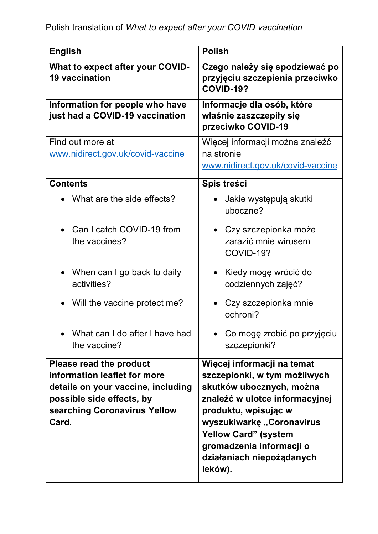| <b>English</b>                                                                                                                                                      | <b>Polish</b>                                                                                                                                                                                                                                                                    |
|---------------------------------------------------------------------------------------------------------------------------------------------------------------------|----------------------------------------------------------------------------------------------------------------------------------------------------------------------------------------------------------------------------------------------------------------------------------|
| <b>What to expect after your COVID-</b><br><b>19 vaccination</b>                                                                                                    | Czego należy się spodziewać po<br>przyjęciu szczepienia przeciwko<br><b>COVID-19?</b>                                                                                                                                                                                            |
| Information for people who have<br>just had a COVID-19 vaccination                                                                                                  | Informacje dla osób, które<br>właśnie zaszczepiły się<br>przeciwko COVID-19                                                                                                                                                                                                      |
| Find out more at<br>www.nidirect.gov.uk/covid-vaccine                                                                                                               | Więcej informacji można znaleźć<br>na stronie<br>www.nidirect.gov.uk/covid-vaccine                                                                                                                                                                                               |
| <b>Contents</b>                                                                                                                                                     | Spis treści                                                                                                                                                                                                                                                                      |
| What are the side effects?                                                                                                                                          | Jakie występują skutki<br>$\bullet$<br>uboczne?                                                                                                                                                                                                                                  |
| Can I catch COVID-19 from<br>the vaccines?                                                                                                                          | • Czy szczepionka może<br>zarazić mnie wirusem<br>COVID-19?                                                                                                                                                                                                                      |
| When can I go back to daily<br>$\bullet$<br>activities?                                                                                                             | Kiedy mogę wrócić do<br>$\bullet$<br>codziennych zajęć?                                                                                                                                                                                                                          |
| • Will the vaccine protect me?                                                                                                                                      | Czy szczepionka mnie<br>ochroni?                                                                                                                                                                                                                                                 |
| What can I do after I have had<br>the vaccine?                                                                                                                      | Co mogę zrobić po przyjęciu<br>szczepionki?                                                                                                                                                                                                                                      |
| Please read the product<br>information leaflet for more<br>details on your vaccine, including<br>possible side effects, by<br>searching Coronavirus Yellow<br>Card. | Więcej informacji na temat<br>szczepionki, w tym możliwych<br>skutków ubocznych, można<br>znaleźć w ulotce informacyjnej<br>produktu, wpisując w<br>wyszukiwarkę "Coronavirus<br><b>Yellow Card" (system</b><br>gromadzenia informacji o<br>działaniach niepożądanych<br>leków). |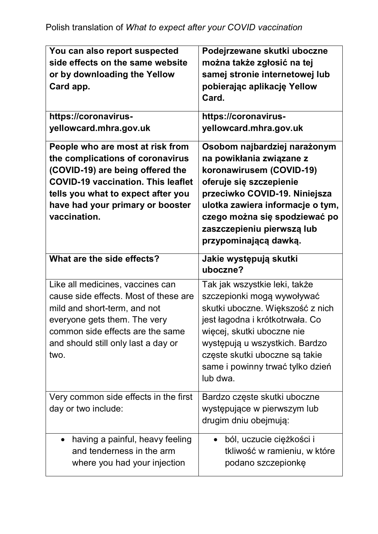| You can also report suspected<br>side effects on the same website<br>or by downloading the Yellow<br>Card app.                                                                                                                                  | Podejrzewane skutki uboczne<br>można także zgłosić na tej<br>samej stronie internetowej lub<br>pobierając aplikację Yellow<br>Card.                                                                                                                                                  |
|-------------------------------------------------------------------------------------------------------------------------------------------------------------------------------------------------------------------------------------------------|--------------------------------------------------------------------------------------------------------------------------------------------------------------------------------------------------------------------------------------------------------------------------------------|
| https://coronavirus-<br>yellowcard.mhra.gov.uk                                                                                                                                                                                                  | https://coronavirus-<br>yellowcard.mhra.gov.uk                                                                                                                                                                                                                                       |
| People who are most at risk from<br>the complications of coronavirus<br>(COVID-19) are being offered the<br><b>COVID-19 vaccination. This leaflet</b><br>tells you what to expect after you<br>have had your primary or booster<br>vaccination. | Osobom najbardziej narażonym<br>na powikłania związane z<br>koronawirusem (COVID-19)<br>oferuje się szczepienie<br>przeciwko COVID-19. Niniejsza<br>ulotka zawiera informacje o tym,<br>czego można się spodziewać po<br>zaszczepieniu pierwszą lub<br>przypominającą dawką.         |
| What are the side effects?                                                                                                                                                                                                                      | Jakie występują skutki                                                                                                                                                                                                                                                               |
|                                                                                                                                                                                                                                                 | uboczne?                                                                                                                                                                                                                                                                             |
| Like all medicines, vaccines can<br>cause side effects. Most of these are<br>mild and short-term, and not<br>everyone gets them. The very<br>common side effects are the same<br>and should still only last a day or<br>two.                    | Tak jak wszystkie leki, także<br>szczepionki mogą wywoływać<br>skutki uboczne. Większość z nich<br>jest łagodna i krótkotrwała. Co<br>więcej, skutki uboczne nie<br>występują u wszystkich. Bardzo<br>częste skutki uboczne są takie<br>same i powinny trwać tylko dzień<br>lub dwa. |
| Very common side effects in the first<br>day or two include:                                                                                                                                                                                    | Bardzo częste skutki uboczne<br>występujące w pierwszym lub<br>drugim dniu obejmują:                                                                                                                                                                                                 |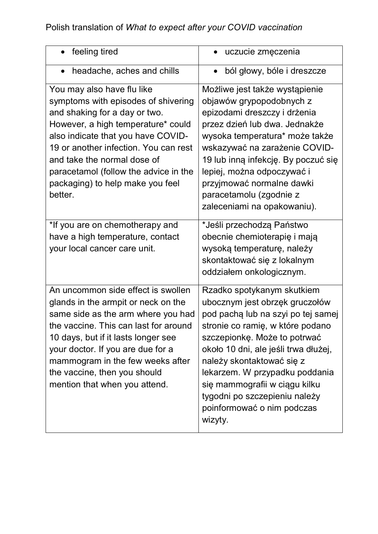Polish translation of *What to expect after your COVID vaccination*

| feeling tired                                                                                                                                                                                                                                                                                                                                  | uczucie zmęczenia<br>$\bullet$                                                                                                                                                                                                                                                                                                                                                           |
|------------------------------------------------------------------------------------------------------------------------------------------------------------------------------------------------------------------------------------------------------------------------------------------------------------------------------------------------|------------------------------------------------------------------------------------------------------------------------------------------------------------------------------------------------------------------------------------------------------------------------------------------------------------------------------------------------------------------------------------------|
| headache, aches and chills                                                                                                                                                                                                                                                                                                                     | ból głowy, bóle i dreszcze                                                                                                                                                                                                                                                                                                                                                               |
| You may also have flu like<br>symptoms with episodes of shivering<br>and shaking for a day or two.<br>However, a high temperature* could<br>also indicate that you have COVID-<br>19 or another infection. You can rest<br>and take the normal dose of<br>paracetamol (follow the advice in the<br>packaging) to help make you feel<br>better. | Możliwe jest także wystąpienie<br>objawów grypopodobnych z<br>epizodami dreszczy i drżenia<br>przez dzień lub dwa. Jednakże<br>wysoka temperatura* może także<br>wskazywać na zarażenie COVID-<br>19 lub inną infekcję. By poczuć się<br>lepiej, można odpoczywać i<br>przyjmować normalne dawki<br>paracetamolu (zgodnie z<br>zaleceniami na opakowaniu).                               |
| *If you are on chemotherapy and<br>have a high temperature, contact<br>your local cancer care unit.                                                                                                                                                                                                                                            | *Jeśli przechodzą Państwo<br>obecnie chemioterapię i mają<br>wysoką temperaturę, należy<br>skontaktować się z lokalnym<br>oddziałem onkologicznym.                                                                                                                                                                                                                                       |
| An uncommon side effect is swollen<br>glands in the armpit or neck on the<br>same side as the arm where you had<br>the vaccine. This can last for around<br>10 days, but if it lasts longer see<br>your doctor. If you are due for a<br>mammogram in the few weeks after<br>the vaccine, then you should<br>mention that when you attend.      | Rzadko spotykanym skutkiem<br>ubocznym jest obrzęk gruczołów<br>pod pachą lub na szyi po tej samej<br>stronie co ramię, w które podano<br>szczepionkę. Może to potrwać<br>około 10 dni, ale jeśli trwa dłużej,<br>należy skontaktować się z<br>lekarzem. W przypadku poddania<br>się mammografii w ciągu kilku<br>tygodni po szczepieniu należy<br>poinformować o nim podczas<br>wizyty. |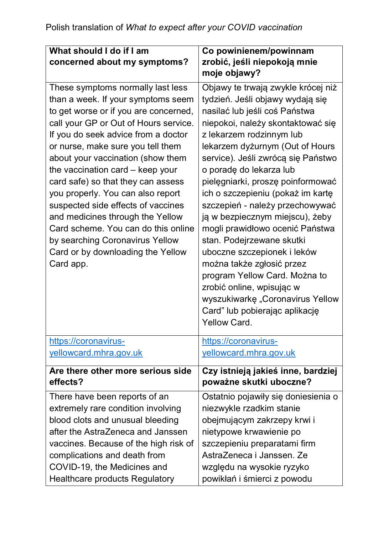| What should I do if I am                                                                                                                                                                                                                                                                                                                                                                                                                                                                                                                                                                        | Co powinienem/powinnam                                                                                                                                                                                                                                                                                                                                                                                                                                                                                                                                                                                                 |
|-------------------------------------------------------------------------------------------------------------------------------------------------------------------------------------------------------------------------------------------------------------------------------------------------------------------------------------------------------------------------------------------------------------------------------------------------------------------------------------------------------------------------------------------------------------------------------------------------|------------------------------------------------------------------------------------------------------------------------------------------------------------------------------------------------------------------------------------------------------------------------------------------------------------------------------------------------------------------------------------------------------------------------------------------------------------------------------------------------------------------------------------------------------------------------------------------------------------------------|
| concerned about my symptoms?                                                                                                                                                                                                                                                                                                                                                                                                                                                                                                                                                                    | zrobić, jeśli niepokoją mnie                                                                                                                                                                                                                                                                                                                                                                                                                                                                                                                                                                                           |
|                                                                                                                                                                                                                                                                                                                                                                                                                                                                                                                                                                                                 | moje objawy?                                                                                                                                                                                                                                                                                                                                                                                                                                                                                                                                                                                                           |
| These symptoms normally last less<br>than a week. If your symptoms seem<br>to get worse or if you are concerned,<br>call your GP or Out of Hours service.<br>If you do seek advice from a doctor<br>or nurse, make sure you tell them<br>about your vaccination (show them<br>the vaccination card – keep your<br>card safe) so that they can assess<br>you properly. You can also report<br>suspected side effects of vaccines<br>and medicines through the Yellow<br>Card scheme. You can do this online<br>by searching Coronavirus Yellow<br>Card or by downloading the Yellow<br>Card app. | Objawy te trwają zwykle krócej niż<br>tydzień. Jeśli objawy wydają się<br>nasilać lub jeśli coś Państwa<br>niepokoi, należy skontaktować się<br>z lekarzem rodzinnym lub<br>lekarzem dyżurnym (Out of Hours<br>service). Jeśli zwrócą się Państwo<br>o poradę do lekarza lub<br>pielęgniarki, proszę poinformować<br>ich o szczepieniu (pokaż im kartę<br>szczepień - należy przechowywać<br>ją w bezpiecznym miejscu), żeby<br>mogli prawidłowo ocenić Państwa<br>stan. Podejrzewane skutki<br>uboczne szczepionek i leków<br>można także zgłosić przez<br>program Yellow Card. Można to<br>zrobić online, wpisując w |
|                                                                                                                                                                                                                                                                                                                                                                                                                                                                                                                                                                                                 | wyszukiwarkę "Coronavirus Yellow<br>Card" lub pobierając aplikację<br>Yellow Card.                                                                                                                                                                                                                                                                                                                                                                                                                                                                                                                                     |
| https://coronavirus-                                                                                                                                                                                                                                                                                                                                                                                                                                                                                                                                                                            | https://coronavirus-                                                                                                                                                                                                                                                                                                                                                                                                                                                                                                                                                                                                   |
| yellowcard.mhra.gov.uk                                                                                                                                                                                                                                                                                                                                                                                                                                                                                                                                                                          | yellowcard.mhra.gov.uk                                                                                                                                                                                                                                                                                                                                                                                                                                                                                                                                                                                                 |
| Are there other more serious side                                                                                                                                                                                                                                                                                                                                                                                                                                                                                                                                                               | Czy istnieją jakieś inne, bardziej                                                                                                                                                                                                                                                                                                                                                                                                                                                                                                                                                                                     |
| effects?                                                                                                                                                                                                                                                                                                                                                                                                                                                                                                                                                                                        | poważne skutki uboczne?                                                                                                                                                                                                                                                                                                                                                                                                                                                                                                                                                                                                |
| There have been reports of an                                                                                                                                                                                                                                                                                                                                                                                                                                                                                                                                                                   | Ostatnio pojawiły się doniesienia o                                                                                                                                                                                                                                                                                                                                                                                                                                                                                                                                                                                    |
| extremely rare condition involving                                                                                                                                                                                                                                                                                                                                                                                                                                                                                                                                                              | niezwykle rzadkim stanie                                                                                                                                                                                                                                                                                                                                                                                                                                                                                                                                                                                               |
| blood clots and unusual bleeding                                                                                                                                                                                                                                                                                                                                                                                                                                                                                                                                                                | obejmującym zakrzepy krwi i                                                                                                                                                                                                                                                                                                                                                                                                                                                                                                                                                                                            |
| after the AstraZeneca and Janssen                                                                                                                                                                                                                                                                                                                                                                                                                                                                                                                                                               | nietypowe krwawienie po                                                                                                                                                                                                                                                                                                                                                                                                                                                                                                                                                                                                |
| vaccines. Because of the high risk of                                                                                                                                                                                                                                                                                                                                                                                                                                                                                                                                                           | szczepieniu preparatami firm<br>AstraZeneca i Janssen. Ze                                                                                                                                                                                                                                                                                                                                                                                                                                                                                                                                                              |
| complications and death from<br>COVID-19, the Medicines and                                                                                                                                                                                                                                                                                                                                                                                                                                                                                                                                     | względu na wysokie ryzyko                                                                                                                                                                                                                                                                                                                                                                                                                                                                                                                                                                                              |
| <b>Healthcare products Regulatory</b>                                                                                                                                                                                                                                                                                                                                                                                                                                                                                                                                                           | powikłań i śmierci z powodu                                                                                                                                                                                                                                                                                                                                                                                                                                                                                                                                                                                            |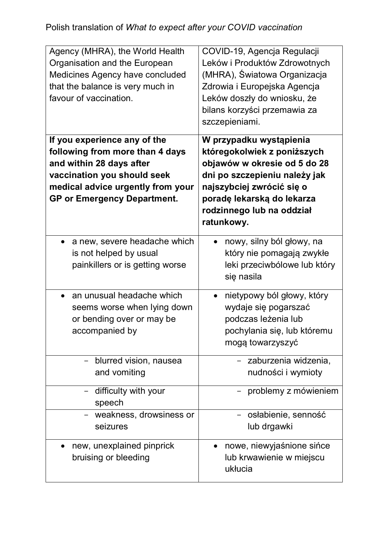| Agency (MHRA), the World Health<br>Organisation and the European<br>Medicines Agency have concluded<br>that the balance is very much in<br>favour of vaccination.                                     | COVID-19, Agencja Regulacji<br>Leków i Produktów Zdrowotnych<br>(MHRA), Światowa Organizacja<br>Zdrowia i Europejska Agencja<br>Leków doszły do wniosku, że<br>bilans korzyści przemawia za<br>szczepieniami.                 |
|-------------------------------------------------------------------------------------------------------------------------------------------------------------------------------------------------------|-------------------------------------------------------------------------------------------------------------------------------------------------------------------------------------------------------------------------------|
| If you experience any of the<br>following from more than 4 days<br>and within 28 days after<br>vaccination you should seek<br>medical advice urgently from your<br><b>GP or Emergency Department.</b> | W przypadku wystąpienia<br>któregokolwiek z poniższych<br>objawów w okresie od 5 do 28<br>dni po szczepieniu należy jak<br>najszybciej zwrócić się o<br>poradę lekarską do lekarza<br>rodzinnego lub na oddział<br>ratunkowy. |
| a new, severe headache which<br>$\bullet$<br>is not helped by usual<br>painkillers or is getting worse                                                                                                | nowy, silny ból głowy, na<br>który nie pomagają zwykłe<br>leki przeciwbólowe lub który<br>się nasila                                                                                                                          |
| an unusual headache which<br>$\bullet$<br>seems worse when lying down<br>or bending over or may be<br>accompanied by                                                                                  | nietypowy ból głowy, który<br>$\bullet$<br>wydaje się pogarszać<br>podczas leżenia lub<br>pochylania się, lub któremu<br>mogą towarzyszyć                                                                                     |
| blurred vision, nausea<br>and vomiting                                                                                                                                                                | zaburzenia widzenia,<br>nudności i wymioty                                                                                                                                                                                    |
| difficulty with your<br>speech                                                                                                                                                                        | problemy z mówieniem                                                                                                                                                                                                          |
| weakness, drowsiness or<br>seizures                                                                                                                                                                   | osłabienie, senność<br>lub drgawki                                                                                                                                                                                            |
| new, unexplained pinprick<br>bruising or bleeding                                                                                                                                                     | nowe, niewyjaśnione sińce<br>lub krwawienie w miejscu<br>ukłucia                                                                                                                                                              |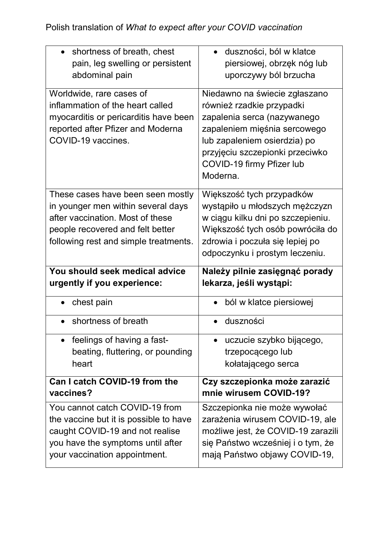| • shortness of breath, chest                                       | · duszności, ból w klatce                                          |
|--------------------------------------------------------------------|--------------------------------------------------------------------|
| pain, leg swelling or persistent                                   | piersiowej, obrzęk nóg lub                                         |
| abdominal pain                                                     | uporczywy ból brzucha                                              |
| Worldwide, rare cases of                                           | Niedawno na świecie zgłaszano                                      |
| inflammation of the heart called                                   | również rzadkie przypadki                                          |
| myocarditis or pericarditis have been                              | zapalenia serca (nazywanego                                        |
| reported after Pfizer and Moderna                                  | zapaleniem mięśnia sercowego                                       |
| COVID-19 vaccines.                                                 | lub zapaleniem osierdzia) po                                       |
|                                                                    | przyjęciu szczepionki przeciwko                                    |
|                                                                    | COVID-19 firmy Pfizer lub                                          |
|                                                                    | Moderna.                                                           |
| These cases have been seen mostly                                  | Większość tych przypadków                                          |
| in younger men within several days                                 | wystąpiło u młodszych mężczyzn                                     |
| after vaccination. Most of these                                   | w ciągu kilku dni po szczepieniu.                                  |
| people recovered and felt better                                   | Większość tych osób powróciła do                                   |
| following rest and simple treatments.                              | zdrowia i poczuła się lepiej po                                    |
|                                                                    | odpoczynku i prostym leczeniu.                                     |
|                                                                    |                                                                    |
| You should seek medical advice                                     | Należy pilnie zasięgnąć porady                                     |
| urgently if you experience:                                        | lekarza, jeśli wystąpi:                                            |
| chest pain                                                         | ból w klatce piersiowej                                            |
| shortness of breath                                                | duszności                                                          |
| feelings of having a fast-                                         | uczucie szybko bijącego,                                           |
| beating, fluttering, or pounding                                   | trzepocącego lub                                                   |
| heart                                                              | kołatającego serca                                                 |
| Can I catch COVID-19 from the                                      | Czy szczepionka może zarazić                                       |
| vaccines?                                                          | mnie wirusem COVID-19?                                             |
| You cannot catch COVID-19 from                                     | Szczepionka nie może wywołać                                       |
| the vaccine but it is possible to have                             | zarażenia wirusem COVID-19, ale                                    |
| caught COVID-19 and not realise                                    | możliwe jest, że COVID-19 zarazili                                 |
| you have the symptoms until after<br>your vaccination appointment. | się Państwo wcześniej i o tym, że<br>mają Państwo objawy COVID-19, |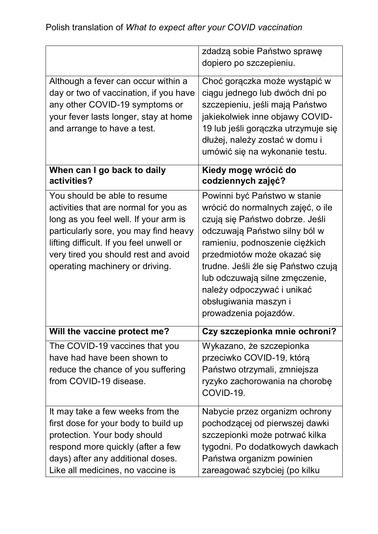|                                                                                                                                                                                                                                                                                | zdadzą sobie Państwo sprawę<br>dopiero po szczepieniu.                                                                                                                                                                                                                                                                                                          |
|--------------------------------------------------------------------------------------------------------------------------------------------------------------------------------------------------------------------------------------------------------------------------------|-----------------------------------------------------------------------------------------------------------------------------------------------------------------------------------------------------------------------------------------------------------------------------------------------------------------------------------------------------------------|
| Although a fever can occur within a<br>day or two of vaccination, if you have<br>any other COVID-19 symptoms or<br>your fever lasts longer, stay at home<br>and arrange to have a test.                                                                                        | Choć gorączka może wystąpić w<br>ciągu jednego lub dwóch dni po<br>szczepieniu, jeśli mają Państwo<br>jakiekolwiek inne objawy COVID-<br>19 lub jeśli gorączka utrzymuje się<br>dłużej, należy zostać w domu i<br>umówić się na wykonanie testu.                                                                                                                |
| When can I go back to daily<br>activities?                                                                                                                                                                                                                                     | Kiedy mogę wrócić do<br>codziennych zajęć?                                                                                                                                                                                                                                                                                                                      |
| You should be able to resume<br>activities that are normal for you as<br>long as you feel well. If your arm is<br>particularly sore, you may find heavy<br>lifting difficult. If you feel unwell or<br>very tired you should rest and avoid<br>operating machinery or driving. | Powinni być Państwo w stanie<br>wrócić do normalnych zajęć, o ile<br>czują się Państwo dobrze. Jeśli<br>odczuwają Państwo silny ból w<br>ramieniu, podnoszenie ciężkich<br>przedmiotów może okazać się<br>trudne. Jeśli źle się Państwo czują<br>lub odczuwają silne zmęczenie,<br>należy odpoczywać i unikać<br>obsługiwania maszyn i<br>prowadzenia pojazdów. |
| Will the vaccine protect me?                                                                                                                                                                                                                                                   | Czy szczepionka mnie ochroni?                                                                                                                                                                                                                                                                                                                                   |
| The COVID-19 vaccines that you<br>have had have been shown to<br>reduce the chance of you suffering<br>from COVID-19 disease.                                                                                                                                                  | Wykazano, że szczepionka<br>przeciwko COVID-19, którą<br>Państwo otrzymali, zmniejsza<br>ryzyko zachorowania na chorobę<br>COVID-19.                                                                                                                                                                                                                            |
| It may take a few weeks from the<br>first dose for your body to build up<br>protection. Your body should<br>respond more quickly (after a few<br>days) after any additional doses.<br>Like all medicines, no vaccine is                                                        | Nabycie przez organizm ochrony<br>pochodzącej od pierwszej dawki<br>szczepionki może potrwać kilka<br>tygodni. Po dodatkowych dawkach<br>Państwa organizm powinien<br>zareagować szybciej (po kilku                                                                                                                                                             |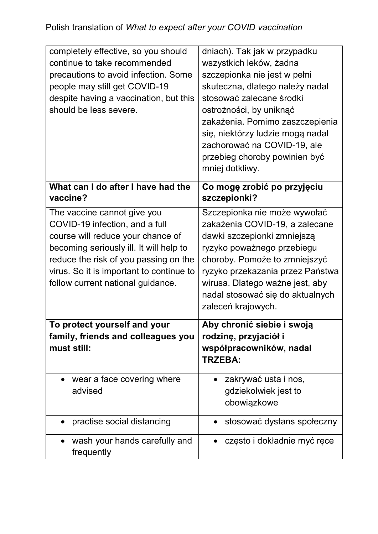| completely effective, so you should<br>continue to take recommended<br>precautions to avoid infection. Some<br>people may still get COVID-19<br>despite having a vaccination, but this<br>should be less severe.                                                        | dniach). Tak jak w przypadku<br>wszystkich leków, żadna<br>szczepionka nie jest w pełni<br>skuteczna, dlatego należy nadal<br>stosować zalecane środki<br>ostrożności, by uniknąć<br>zakażenia. Pomimo zaszczepienia<br>się, niektórzy ludzie mogą nadal<br>zachorować na COVID-19, ale<br>przebieg choroby powinien być<br>mniej dotkliwy. |
|-------------------------------------------------------------------------------------------------------------------------------------------------------------------------------------------------------------------------------------------------------------------------|---------------------------------------------------------------------------------------------------------------------------------------------------------------------------------------------------------------------------------------------------------------------------------------------------------------------------------------------|
| What can I do after I have had the<br>vaccine?                                                                                                                                                                                                                          | Co mogę zrobić po przyjęciu<br>szczepionki?                                                                                                                                                                                                                                                                                                 |
| The vaccine cannot give you<br>COVID-19 infection, and a full<br>course will reduce your chance of<br>becoming seriously ill. It will help to<br>reduce the risk of you passing on the<br>virus. So it is important to continue to<br>follow current national guidance. | Szczepionka nie może wywołać<br>zakażenia COVID-19, a zalecane<br>dawki szczepionki zmniejszą<br>ryzyko poważnego przebiegu<br>choroby. Pomoże to zmniejszyć<br>ryzyko przekazania przez Państwa<br>wirusa. Dlatego ważne jest, aby<br>nadal stosować się do aktualnych<br>zaleceń krajowych.                                               |
| To protect yourself and your<br>family, friends and colleagues you<br>must still:                                                                                                                                                                                       | Aby chronić siebie i swoją<br>rodzinę, przyjaciół i<br>współpracowników, nadal<br><b>TRZEBA:</b>                                                                                                                                                                                                                                            |
| wear a face covering where<br>advised                                                                                                                                                                                                                                   | zakrywać usta i nos,<br>gdziekolwiek jest to<br>obowiązkowe                                                                                                                                                                                                                                                                                 |
| practise social distancing                                                                                                                                                                                                                                              | stosować dystans społeczny                                                                                                                                                                                                                                                                                                                  |
| wash your hands carefully and<br>frequently                                                                                                                                                                                                                             | często i dokładnie myć ręce                                                                                                                                                                                                                                                                                                                 |